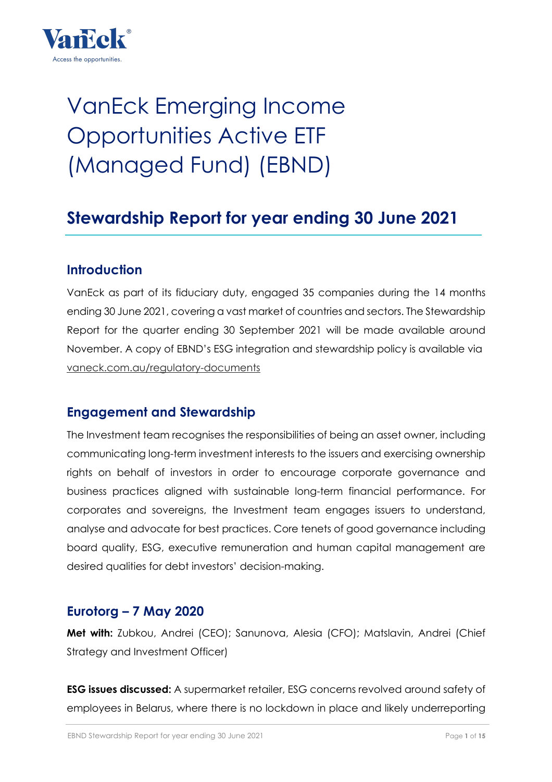

# VanEck Emerging Income Opportunities Active ETF (Managed Fund) (EBND)

# **Stewardship Report for year ending 30 June 2021**

#### **Introduction**

VanEck as part of its fiduciary duty, engaged 35 companies during the 14 months ending 30 June 2021, covering a vast market of countries and sectors. The Stewardship Report for the quarter ending 30 September 2021 will be made available around November. A copy of EBND's ESG integration and stewardship policy is available via vaneck.com.au/regulatory-documents

#### **Engagement and Stewardship**

The Investment team recognises the responsibilities of being an asset owner, including communicating long-term investment interests to the issuers and exercising ownership rights on behalf of investors in order to encourage corporate governance and business practices aligned with sustainable long-term financial performance. For corporates and sovereigns, the Investment team engages issuers to understand, analyse and advocate for best practices. Core tenets of good governance including board quality, ESG, executive remuneration and human capital management are desired qualities for debt investors' decision-making.

#### **Eurotorg – 7 May 2020**

**Met with:** Zubkou, Andrei (CEO); Sanunova, Alesia (CFO); Matslavin, Andrei (Chief Strategy and Investment Officer)

**ESG issues discussed:** A supermarket retailer, ESG concerns revolved around safety of employees in Belarus, where there is no lockdown in place and likely underreporting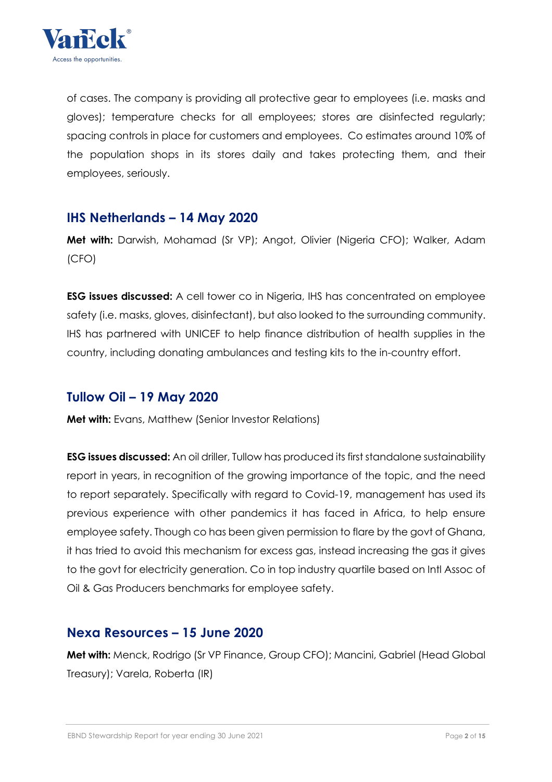

of cases. The company is providing all protective gear to employees (i.e. masks and gloves); temperature checks for all employees; stores are disinfected regularly; spacing controls in place for customers and employees. Co estimates around 10% of the population shops in its stores daily and takes protecting them, and their employees, seriously.

#### **IHS Netherlands – 14 May 2020**

**Met with:** Darwish, Mohamad (Sr VP); Angot, Olivier (Nigeria CFO); Walker, Adam (CFO)

**ESG issues discussed:** A cell tower co in Nigeria, IHS has concentrated on employee safety (i.e. masks, gloves, disinfectant), but also looked to the surrounding community. IHS has partnered with UNICEF to help finance distribution of health supplies in the country, including donating ambulances and testing kits to the in-country effort.

#### **Tullow Oil – 19 May 2020**

**Met with:** Evans, Matthew (Senior Investor Relations)

**ESG issues discussed:** An oil driller, Tullow has produced its first standalone sustainability report in years, in recognition of the growing importance of the topic, and the need to report separately. Specifically with regard to Covid-19, management has used its previous experience with other pandemics it has faced in Africa, to help ensure employee safety. Though co has been given permission to flare by the govt of Ghana, it has tried to avoid this mechanism for excess gas, instead increasing the gas it gives to the govt for electricity generation. Co in top industry quartile based on Intl Assoc of Oil & Gas Producers benchmarks for employee safety.

#### **Nexa Resources – 15 June 2020**

**Met with:** Menck, Rodrigo (Sr VP Finance, Group CFO); Mancini, Gabriel (Head Global Treasury); Varela, Roberta (IR)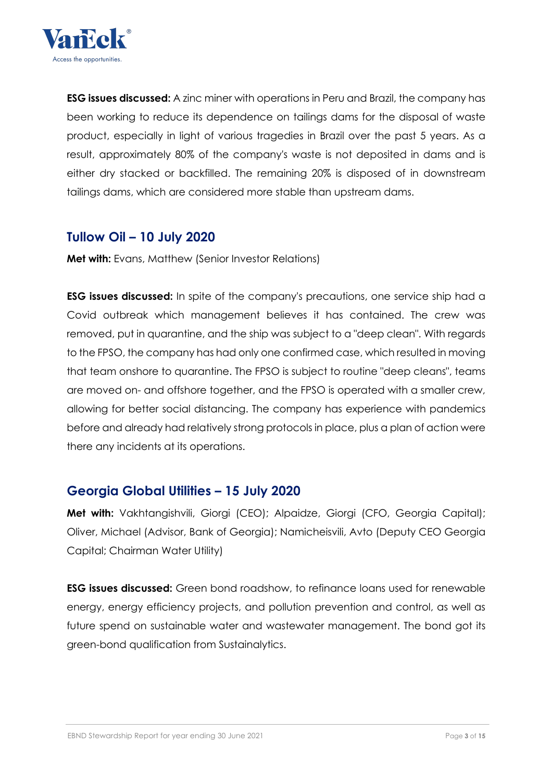

**ESG issues discussed:** A zinc miner with operations in Peru and Brazil, the company has been working to reduce its dependence on tailings dams for the disposal of waste product, especially in light of various tragedies in Brazil over the past 5 years. As a result, approximately 80% of the company's waste is not deposited in dams and is either dry stacked or backfilled. The remaining 20% is disposed of in downstream tailings dams, which are considered more stable than upstream dams.

#### **Tullow Oil – 10 July 2020**

**Met with:** Evans, Matthew (Senior Investor Relations)

**ESG issues discussed:** In spite of the company's precautions, one service ship had a Covid outbreak which management believes it has contained. The crew was removed, put in quarantine, and the ship was subject to a "deep clean". With regards to the FPSO, the company has had only one confirmed case, which resulted in moving that team onshore to quarantine. The FPSO is subject to routine "deep cleans", teams are moved on- and offshore together, and the FPSO is operated with a smaller crew, allowing for better social distancing. The company has experience with pandemics before and already had relatively strong protocols in place, plus a plan of action were there any incidents at its operations.

#### **Georgia Global Utilities – 15 July 2020**

**Met with:** Vakhtanaishvili, Giorgi (CEO); Alpaidze, Giorgi (CFO, Georgia Capital); Oliver, Michael (Advisor, Bank of Georgia); Namicheisvili, Avto (Deputy CEO Georgia Capital; Chairman Water Utility)

**ESG issues discussed:** Green bond roadshow, to refinance loans used for renewable energy, energy efficiency projects, and pollution prevention and control, as well as future spend on sustainable water and wastewater management. The bond got its green-bond qualification from Sustainalytics.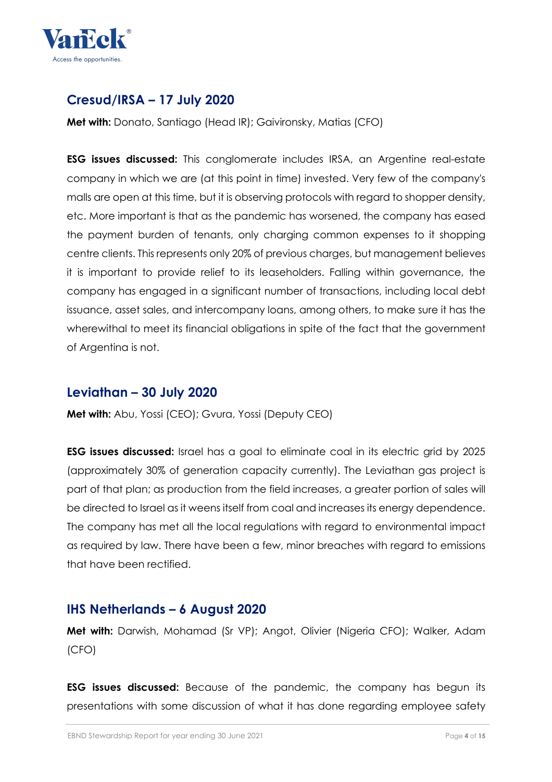

# **Cresud/IRSA – 17 July 2020**

**Met with:** Donato, Santiago (Head IR); Gaivironsky, Matias (CFO)

**ESG issues discussed:** This conglomerate includes IRSA, an Argentine real-estate company in which we are (at this point in time) invested. Very few of the company's malls are open at this time, but it is observing protocols with regard to shopper density, etc. More important is that as the pandemic has worsened, the company has eased the payment burden of tenants, only charging common expenses to it shopping centre clients. This represents only 20% of previous charges, but management believes it is important to provide relief to its leaseholders. Falling within governance, the company has engaged in a significant number of transactions, including local debt issuance, asset sales, and intercompany loans, among others, to make sure it has the wherewithal to meet its financial obligations in spite of the fact that the government of Argentina is not.

#### **Leviathan – 30 July 2020**

**Met with:** Abu, Yossi (CEO); Gvura, Yossi (Deputy CEO)

**ESG issues discussed:** Israel has a goal to eliminate coal in its electric grid by 2025 (approximately 30% of generation capacity currently). The Leviathan gas project is part of that plan; as production from the field increases, a greater portion of sales will be directed to Israel as it weens itself from coal and increases its energy dependence. The company has met all the local regulations with regard to environmental impact as required by law. There have been a few, minor breaches with regard to emissions that have been rectified.

#### **IHS Netherlands – 6 August 2020**

**Met with:** Darwish, Mohamad (Sr VP); Angot, Olivier (Nigeria CFO); Walker, Adam (CFO)

**ESG issues discussed:** Because of the pandemic, the company has begun its presentations with some discussion of what it has done regarding employee safety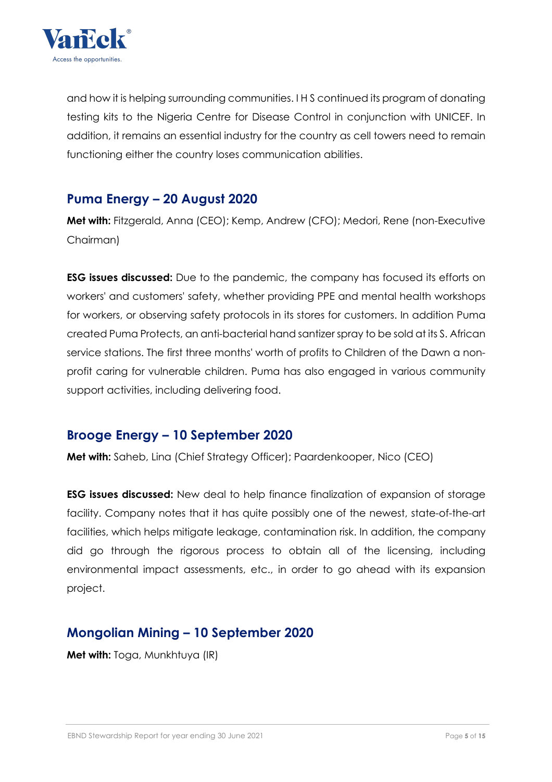

and how it is helping surrounding communities. I H S continued its program of donating testing kits to the Nigeria Centre for Disease Control in conjunction with UNICEF. In addition, it remains an essential industry for the country as cell towers need to remain functioning either the country loses communication abilities.

# **Puma Energy – 20 August 2020**

**Met with:** Fitzgerald, Anna (CEO); Kemp, Andrew (CFO); Medori, Rene (non-Executive Chairman)

**ESG issues discussed:** Due to the pandemic, the company has focused its efforts on workers' and customers' safety, whether providing PPE and mental health workshops for workers, or observing safety protocols in its stores for customers. In addition Puma created Puma Protects, an anti-bacterial hand santizer spray to be sold at its S. African service stations. The first three months' worth of profits to Children of the Dawn a nonprofit caring for vulnerable children. Puma has also engaged in various community support activities, including delivering food.

# **Brooge Energy – 10 September 2020**

**Met with:** Saheb, Lina (Chief Strategy Officer); Paardenkooper, Nico (CEO)

**ESG issues discussed:** New deal to help finance finalization of expansion of storage facility. Company notes that it has quite possibly one of the newest, state-of-the-art facilities, which helps mitigate leakage, contamination risk. In addition, the company did go through the rigorous process to obtain all of the licensing, including environmental impact assessments, etc., in order to go ahead with its expansion project.

# **Mongolian Mining – 10 September 2020**

**Met with:** Toga, Munkhtuya (IR)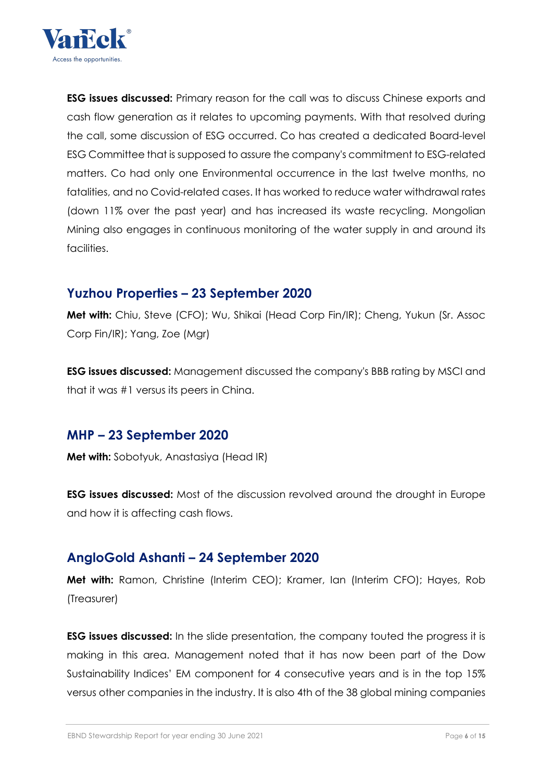

**ESG issues discussed:** Primary reason for the call was to discuss Chinese exports and cash flow generation as it relates to upcoming payments. With that resolved during the call, some discussion of ESG occurred. Co has created a dedicated Board-level ESG Committee that is supposed to assure the company's commitment to ESG-related matters. Co had only one Environmental occurrence in the last twelve months, no fatalities, and no Covid-related cases. It has worked to reduce water withdrawal rates (down 11% over the past year) and has increased its waste recycling. Mongolian Mining also engages in continuous monitoring of the water supply in and around its facilities.

#### **Yuzhou Properties – 23 September 2020**

**Met with:** Chiu, Steve (CFO); Wu, Shikai (Head Corp Fin/IR); Cheng, Yukun (Sr. Assoc Corp Fin/IR); Yang, Zoe (Mgr)

**ESG issues discussed:** Management discussed the company's BBB rating by MSCI and that it was #1 versus its peers in China.

#### **MHP – 23 September 2020**

**Met with:** Sobotyuk, Anastasiya (Head IR)

**ESG issues discussed:** Most of the discussion revolved around the drought in Europe and how it is affecting cash flows.

#### **AngloGold Ashanti – 24 September 2020**

**Met with:** Ramon, Christine (Interim CEO); Kramer, Ian (Interim CFO); Hayes, Rob (Treasurer)

**ESG issues discussed:** In the slide presentation, the company touted the progress it is making in this area. Management noted that it has now been part of the Dow Sustainability Indices' EM component for 4 consecutive years and is in the top 15% versus other companies in the industry. It is also 4th of the 38 global mining companies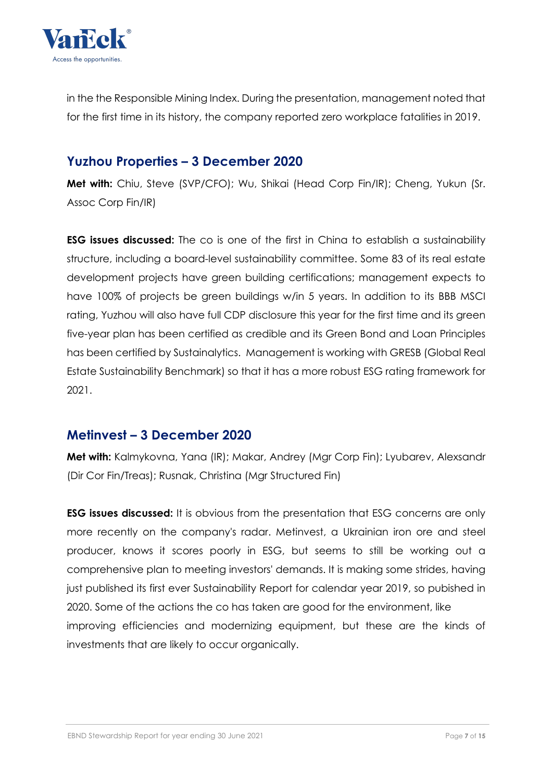

in the the Responsible Mining Index. During the presentation, management noted that for the first time in its history, the company reported zero workplace fatalities in 2019.

#### **Yuzhou Properties – 3 December 2020**

**Met with:** Chiu, Steve (SVP/CFO); Wu, Shikai (Head Corp Fin/IR); Cheng, Yukun (Sr. Assoc Corp Fin/IR)

**ESG issues discussed:** The co is one of the first in China to establish a sustainability structure, including a board-level sustainability committee. Some 83 of its real estate development projects have green building certifications; management expects to have 100% of projects be green buildings w/in 5 years. In addition to its BBB MSCI rating, Yuzhou will also have full CDP disclosure this year for the first time and its green five-year plan has been certified as credible and its Green Bond and Loan Principles has been certified by Sustainalytics. Management is working with GRESB (Global Real Estate Sustainability Benchmark) so that it has a more robust ESG rating framework for 2021.

#### **Metinvest – 3 December 2020**

**Met with:** Kalmykovna, Yana (IR); Makar, Andrey (Mgr Corp Fin); Lyubarev, Alexsandr (Dir Cor Fin/Treas); Rusnak, Christina (Mgr Structured Fin)

**ESG issues discussed:** It is obvious from the presentation that ESG concerns are only more recently on the company's radar. Metinvest, a Ukrainian iron ore and steel producer, knows it scores poorly in ESG, but seems to still be working out a comprehensive plan to meeting investors' demands. It is making some strides, having just published its first ever Sustainability Report for calendar year 2019, so pubished in 2020. Some of the actions the co has taken are good for the environment, like improving efficiencies and modernizing equipment, but these are the kinds of investments that are likely to occur organically.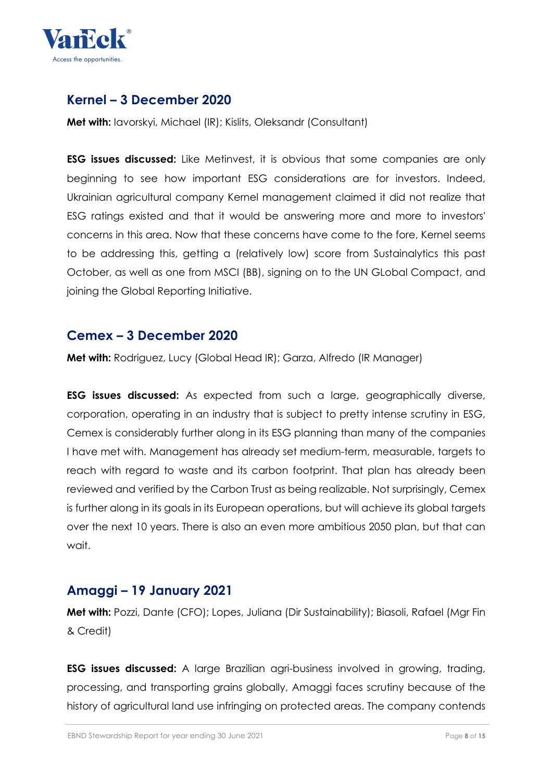

# **Kernel – 3 December 2020**

**Met with:** Iavorskyi, Michael (IR); Kislits, Oleksandr (Consultant)

**ESG issues discussed:** Like Metinvest, it is obvious that some companies are only beginning to see how important ESG considerations are for investors. Indeed, Ukrainian agricultural company Kernel management claimed it did not realize that ESG ratings existed and that it would be answering more and more to investors' concerns in this area. Now that these concerns have come to the fore, Kernel seems to be addressing this, getting a (relatively low) score from Sustainalytics this past October, as well as one from MSCI (BB), signing on to the UN GLobal Compact, and joining the Global Reporting Initiative.

#### **Cemex – 3 December 2020**

**Met with:** Rodriguez, Lucy (Global Head IR); Garza, Alfredo (IR Manager)

**ESG issues discussed:** As expected from such a large, geographically diverse, corporation, operating in an industry that is subject to pretty intense scrutiny in ESG, Cemex is considerably further along in its ESG planning than many of the companies I have met with. Management has already set medium-term, measurable, targets to reach with regard to waste and its carbon footprint. That plan has already been reviewed and verified by the Carbon Trust as being realizable. Not surprisingly, Cemex is further along in its goals in its European operations, but will achieve its global targets over the next 10 years. There is also an even more ambitious 2050 plan, but that can wait.

#### **Amaggi – 19 January 2021**

**Met with:** Pozzi, Dante (CFO); Lopes, Juliana (Dir Sustainability); Biasoli, Rafael (Mgr Fin & Credit)

**ESG issues discussed:** A large Brazilian agri-business involved in growing, trading, processing, and transporting grains globally, Amaggi faces scrutiny because of the history of agricultural land use infringing on protected areas. The company contends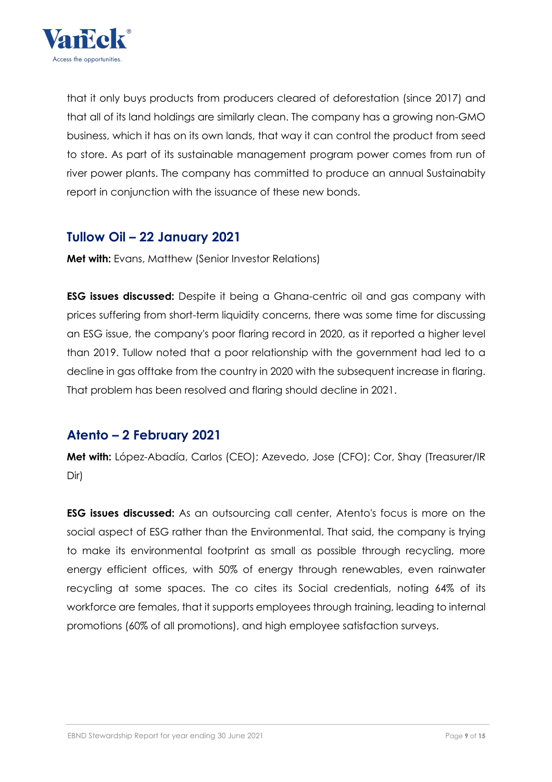

that it only buys products from producers cleared of deforestation (since 2017) and that all of its land holdings are similarly clean. The company has a growing non-GMO business, which it has on its own lands, that way it can control the product from seed to store. As part of its sustainable management program power comes from run of river power plants. The company has committed to produce an annual Sustainabity report in conjunction with the issuance of these new bonds.

#### **Tullow Oil – 22 January 2021**

**Met with:** Evans, Matthew (Senior Investor Relations)

**ESG issues discussed:** Despite it being a Ghana-centric oil and gas company with prices suffering from short-term liquidity concerns, there was some time for discussing an ESG issue, the company's poor flaring record in 2020, as it reported a higher level than 2019. Tullow noted that a poor relationship with the government had led to a decline in gas offtake from the country in 2020 with the subsequent increase in flaring. That problem has been resolved and flaring should decline in 2021.

#### **Atento – 2 February 2021**

**Met with:** López-Abadía, Carlos (CEO); Azevedo, Jose (CFO); Cor, Shay (Treasurer/IR Dir)

**ESG issues discussed:** As an outsourcing call center, Atento's focus is more on the social aspect of ESG rather than the Environmental. That said, the company is trying to make its environmental footprint as small as possible through recycling, more energy efficient offices, with 50% of energy through renewables, even rainwater recycling at some spaces. The co cites its Social credentials, noting 64% of its workforce are females, that it supports employees through training, leading to internal promotions (60% of all promotions), and high employee satisfaction surveys.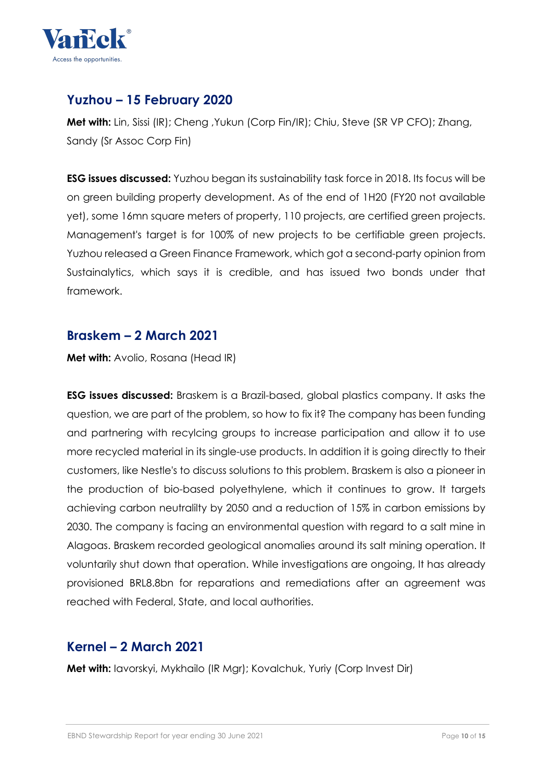

# **Yuzhou – 15 February 2020**

**Met with:** Lin, Sissi (IR); Cheng ,Yukun (Corp Fin/IR); Chiu, Steve (SR VP CFO); Zhang, Sandy (Sr Assoc Corp Fin)

**ESG issues discussed:** Yuzhou began its sustainability task force in 2018. Its focus will be on green building property development. As of the end of 1H20 (FY20 not available yet), some 16mn square meters of property, 110 projects, are certified green projects. Management's target is for 100% of new projects to be certifiable green projects. Yuzhou released a Green Finance Framework, which got a second-party opinion from Sustainalytics, which says it is credible, and has issued two bonds under that framework.

#### **Braskem – 2 March 2021**

**Met with:** Avolio, Rosana (Head IR)

**ESG issues discussed:** Braskem is a Brazil-based, global plastics company. It asks the question, we are part of the problem, so how to fix it? The company has been funding and partnering with recylcing groups to increase participation and allow it to use more recycled material in its single-use products. In addition it is going directly to their customers, like Nestle's to discuss solutions to this problem. Braskem is also a pioneer in the production of bio-based polyethylene, which it continues to grow. It targets achieving carbon neutralilty by 2050 and a reduction of 15% in carbon emissions by 2030. The company is facing an environmental question with regard to a salt mine in Alagoas. Braskem recorded geological anomalies around its salt mining operation. It voluntarily shut down that operation. While investigations are ongoing, It has already provisioned BRL8.8bn for reparations and remediations after an agreement was reached with Federal, State, and local authorities.

#### **Kernel – 2 March 2021**

**Met with:** Iavorskyi, Mykhailo (IR Mgr); Kovalchuk, Yuriy (Corp Invest Dir)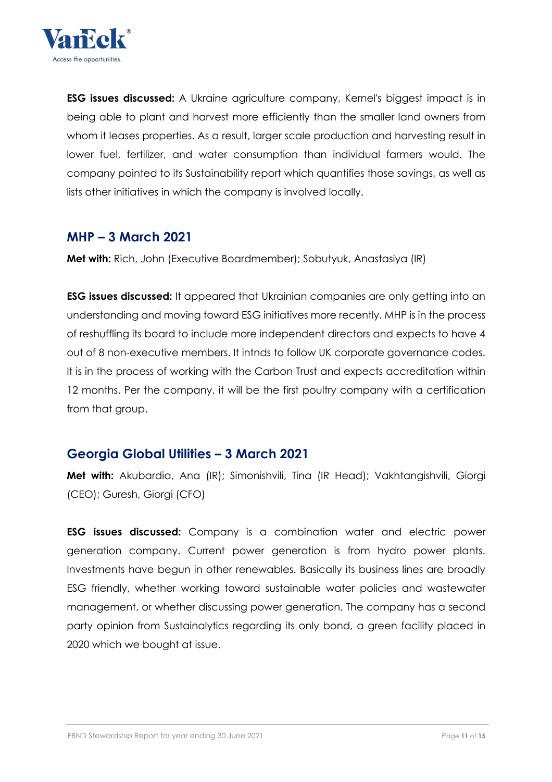

**ESG issues discussed:** A Ukraine agriculture company, Kernel's biggest impact is in being able to plant and harvest more efficiently than the smaller land owners from whom it leases properties. As a result, larger scale production and harvesting result in lower fuel, fertilizer, and water consumption than individual farmers would. The company pointed to its Sustainability report which quantifies those savings, as well as lists other initiatives in which the company is involved locally.

#### **MHP – 3 March 2021**

**Met with:** Rich, John (Executive Boardmember); Sobutyuk, Anastasiya (IR)

**ESG issues discussed:** It appeared that Ukrainian companies are only getting into an understanding and moving toward ESG initiatives more recently. MHP is in the process of reshuffling its board to include more independent directors and expects to have 4 out of 8 non-executive members. It intnds to follow UK corporate governance codes. It is in the process of working with the Carbon Trust and expects accreditation within 12 months. Per the company, it will be the first poultry company with a certification from that group.

#### **Georgia Global Utilities – 3 March 2021**

**Met with:** Akubardia, Ana (IR); Simonishvili, Tina (IR Head); Vakhtangishvili, Giorgi (CEO); Guresh, Giorgi (CFO)

**ESG issues discussed:** Company is a combination water and electric power generation company. Current power generation is from hydro power plants. Investments have begun in other renewables. Basically its business lines are broadly ESG friendly, whether working toward sustainable water policies and wastewater management, or whether discussing power generation. The company has a second party opinion from Sustainalytics regarding its only bond, a green facility placed in 2020 which we bought at issue.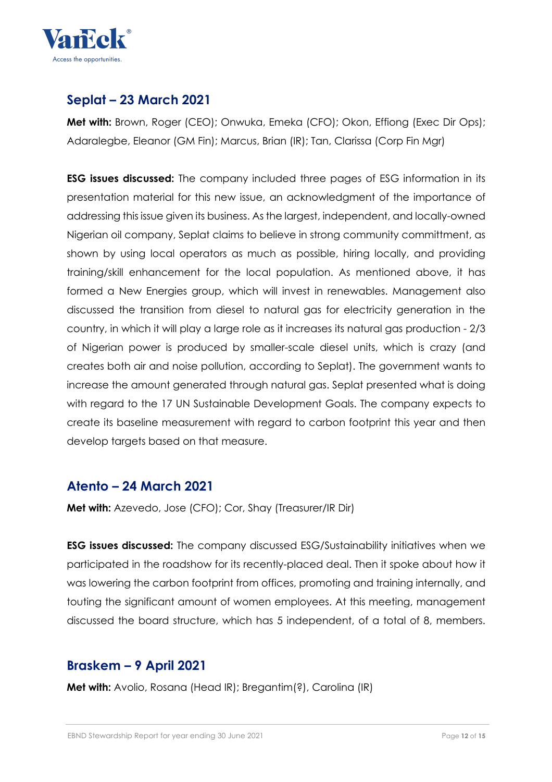

# **Seplat – 23 March 2021**

**Met with:** Brown, Roger (CEO); Onwuka, Emeka (CFO); Okon, Effiong (Exec Dir Ops); Adaralegbe, Eleanor (GM Fin); Marcus, Brian (IR); Tan, Clarissa (Corp Fin Mgr)

**ESG issues discussed:** The company included three pages of ESG information in its presentation material for this new issue, an acknowledgment of the importance of addressing this issue given its business. As the largest, independent, and locally-owned Nigerian oil company, Seplat claims to believe in strong community committment, as shown by using local operators as much as possible, hiring locally, and providing training/skill enhancement for the local population. As mentioned above, it has formed a New Energies group, which will invest in renewables. Management also discussed the transition from diesel to natural gas for electricity generation in the country, in which it will play a large role as it increases its natural gas production - 2/3 of Nigerian power is produced by smaller-scale diesel units, which is crazy (and creates both air and noise pollution, according to Seplat). The government wants to increase the amount generated through natural gas. Seplat presented what is doing with regard to the 17 UN Sustainable Development Goals. The company expects to create its baseline measurement with regard to carbon footprint this year and then develop targets based on that measure.

#### **Atento – 24 March 2021**

**Met with:** Azevedo, Jose (CFO); Cor, Shay (Treasurer/IR Dir)

**ESG issues discussed:** The company discussed ESG/Sustainability initiatives when we participated in the roadshow for its recently-placed deal. Then it spoke about how it was lowering the carbon footprint from offices, promoting and training internally, and touting the significant amount of women employees. At this meeting, management discussed the board structure, which has 5 independent, of a total of 8, members.

# **Braskem – 9 April 2021**

**Met with:** Avolio, Rosana (Head IR); Bregantim(?), Carolina (IR)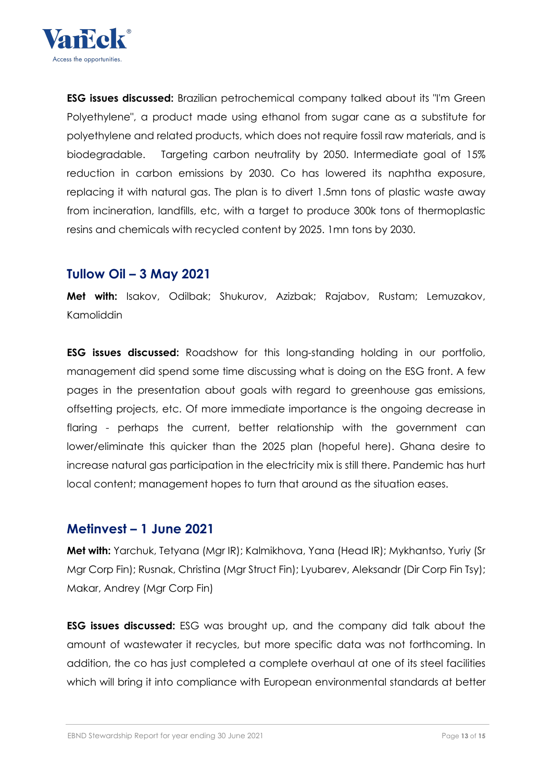

**ESG issues discussed:** Brazilian petrochemical company talked about its "I'm Green Polyethylene", a product made using ethanol from sugar cane as a substitute for polyethylene and related products, which does not require fossil raw materials, and is biodegradable. Targeting carbon neutrality by 2050. Intermediate goal of 15% reduction in carbon emissions by 2030. Co has lowered its naphtha exposure, replacing it with natural gas. The plan is to divert 1.5mn tons of plastic waste away from incineration, landfills, etc, with a target to produce 300k tons of thermoplastic resins and chemicals with recycled content by 2025. 1mn tons by 2030.

#### **Tullow Oil – 3 May 2021**

**Met with:** Isakov, Odilbak; Shukurov, Azizbak; Rajabov, Rustam; Lemuzakov, Kamoliddin

**ESG issues discussed:** Roadshow for this long-standing holding in our portfolio, management did spend some time discussing what is doing on the ESG front. A few pages in the presentation about goals with regard to greenhouse gas emissions, offsetting projects, etc. Of more immediate importance is the ongoing decrease in flaring - perhaps the current, better relationship with the government can lower/eliminate this quicker than the 2025 plan (hopeful here). Ghana desire to increase natural gas participation in the electricity mix is still there. Pandemic has hurt local content; management hopes to turn that around as the situation eases.

#### **Metinvest – 1 June 2021**

**Met with:** Yarchuk, Tetyana (Mgr IR); Kalmikhova, Yana (Head IR); Mykhantso, Yuriy (Sr Mgr Corp Fin); Rusnak, Christina (Mgr Struct Fin); Lyubarev, Aleksandr (Dir Corp Fin Tsy); Makar, Andrey (Mgr Corp Fin)

**ESG issues discussed:** ESG was brought up, and the company did talk about the amount of wastewater it recycles, but more specific data was not forthcoming. In addition, the co has just completed a complete overhaul at one of its steel facilities which will bring it into compliance with European environmental standards at better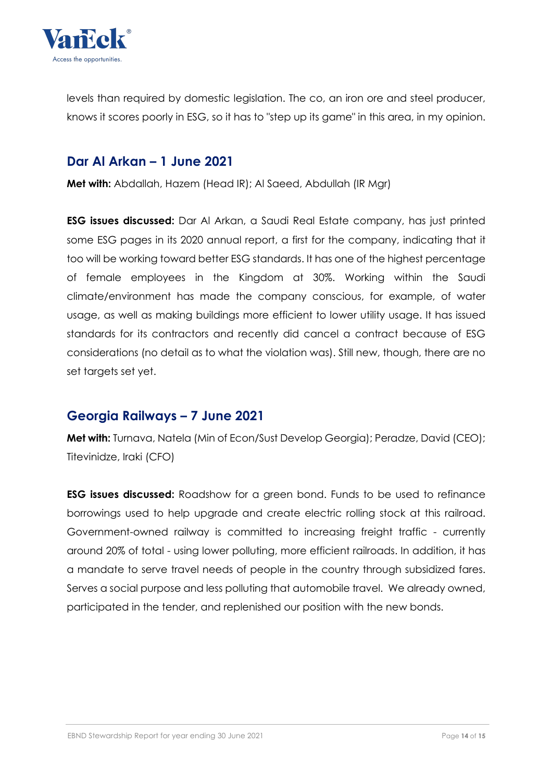

levels than required by domestic legislation. The co, an iron ore and steel producer, knows it scores poorly in ESG, so it has to "step up its game" in this area, in my opinion.

#### **Dar Al Arkan – 1 June 2021**

**Met with:** Abdallah, Hazem (Head IR); Al Saeed, Abdullah (IR Mgr)

**ESG issues discussed:** Dar Al Arkan, a Saudi Real Estate company, has just printed some ESG pages in its 2020 annual report, a first for the company, indicating that it too will be working toward better ESG standards. It has one of the highest percentage of female employees in the Kingdom at 30%. Working within the Saudi climate/environment has made the company conscious, for example, of water usage, as well as making buildings more efficient to lower utility usage. It has issued standards for its contractors and recently did cancel a contract because of ESG considerations (no detail as to what the violation was). Still new, though, there are no set targets set yet.

#### **Georgia Railways – 7 June 2021**

**Met with:** Turnava, Natela (Min of Econ/Sust Develop Georgia); Peradze, David (CEO); Titevinidze, Iraki (CFO)

**ESG issues discussed:** Roadshow for a green bond. Funds to be used to refinance borrowings used to help upgrade and create electric rolling stock at this railroad. Government-owned railway is committed to increasing freight traffic - currently around 20% of total - using lower polluting, more efficient railroads. In addition, it has a mandate to serve travel needs of people in the country through subsidized fares. Serves a social purpose and less polluting that automobile travel. We already owned, participated in the tender, and replenished our position with the new bonds.